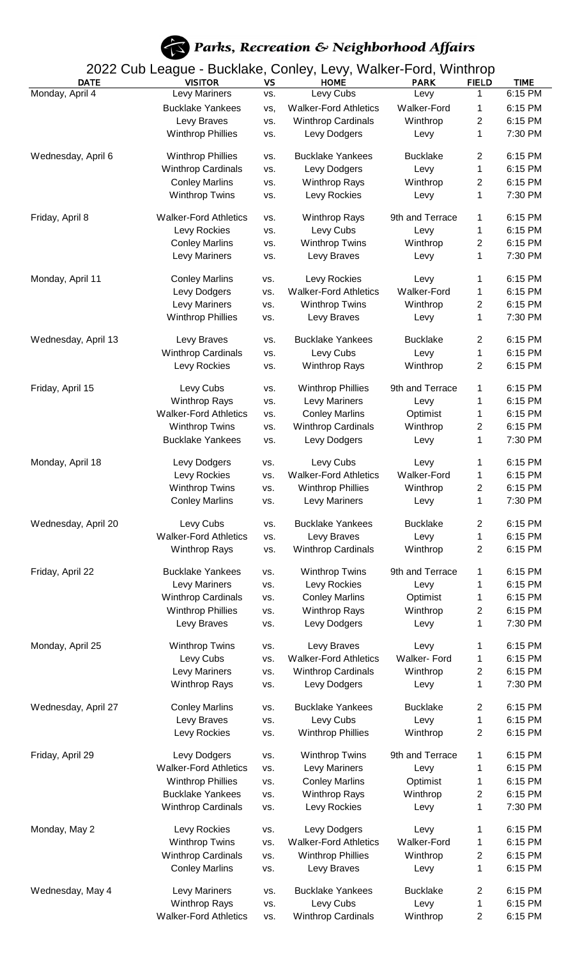## Parks, Recreation & Neighborhood Affairs

2022 Cub League - Bucklake, Conley, Levy, Walker-Ford, Winthrop

| <b>DATE</b>         | <b>VISITOR</b>               | VS  | <b>HOME</b>                  | <b>PARK</b>        | <b>FIELD</b>            | <b>TIME</b>        |
|---------------------|------------------------------|-----|------------------------------|--------------------|-------------------------|--------------------|
| Monday, April 4     | Levy Mariners                | VS. | Levy Cubs                    | Levy               | 1                       | 6:15 PM            |
|                     | <b>Bucklake Yankees</b>      | vs, | <b>Walker-Ford Athletics</b> | <b>Walker-Ford</b> | 1                       | 6:15 PM            |
|                     | Levy Braves                  | VS. | Winthrop Cardinals           | Winthrop           | 2                       | 6:15 PM            |
|                     | <b>Winthrop Phillies</b>     | VS. | Levy Dodgers                 | Levy               | 1                       | 7:30 PM            |
|                     |                              |     |                              |                    |                         |                    |
| Wednesday, April 6  | <b>Winthrop Phillies</b>     | VS. | <b>Bucklake Yankees</b>      | <b>Bucklake</b>    | 2                       | 6:15 PM            |
|                     | <b>Winthrop Cardinals</b>    | VS. | Levy Dodgers                 | Levy               | 1                       | 6:15 PM            |
|                     | <b>Conley Marlins</b>        | VS. | <b>Winthrop Rays</b>         | Winthrop           | 2                       | 6:15 PM            |
|                     | <b>Winthrop Twins</b>        | VS. | Levy Rockies                 | Levy               | 1                       | 7:30 PM            |
|                     |                              |     |                              |                    |                         |                    |
| Friday, April 8     | <b>Walker-Ford Athletics</b> | VS. | <b>Winthrop Rays</b>         | 9th and Terrace    | 1                       | 6:15 PM            |
|                     | Levy Rockies                 | VS. | Levy Cubs                    | Levy               | 1                       | 6:15 PM            |
|                     | <b>Conley Marlins</b>        | VS. | <b>Winthrop Twins</b>        | Winthrop           | 2                       | 6:15 PM            |
|                     | Levy Mariners                | VS. | Levy Braves                  | Levy               | 1                       | 7:30 PM            |
|                     |                              |     |                              |                    |                         |                    |
| Monday, April 11    | <b>Conley Marlins</b>        | VS. | Levy Rockies                 | Levy               | 1                       | 6:15 PM            |
|                     | Levy Dodgers                 | VS. | <b>Walker-Ford Athletics</b> | Walker-Ford        | 1                       | 6:15 PM            |
|                     | Levy Mariners                | VS. | <b>Winthrop Twins</b>        | Winthrop           | $\overline{c}$          | 6:15 PM            |
|                     | <b>Winthrop Phillies</b>     | VS. | Levy Braves                  | Levy               | 1                       | 7:30 PM            |
|                     |                              |     |                              |                    |                         |                    |
| Wednesday, April 13 | Levy Braves                  | VS. | <b>Bucklake Yankees</b>      | <b>Bucklake</b>    | 2                       | 6:15 PM<br>6:15 PM |
|                     | <b>Winthrop Cardinals</b>    | VS. | Levy Cubs                    | Levy               | 1                       |                    |
|                     | Levy Rockies                 | VS. | <b>Winthrop Rays</b>         | Winthrop           | 2                       | 6:15 PM            |
| Friday, April 15    | Levy Cubs                    | VS. | <b>Winthrop Phillies</b>     | 9th and Terrace    | 1                       | 6:15 PM            |
|                     | <b>Winthrop Rays</b>         | VS. | Levy Mariners                | Levy               | 1                       | 6:15 PM            |
|                     | <b>Walker-Ford Athletics</b> | VS. | <b>Conley Marlins</b>        | Optimist           | 1                       | 6:15 PM            |
|                     |                              |     | Winthrop Cardinals           |                    |                         | 6:15 PM            |
|                     | <b>Winthrop Twins</b>        | VS. |                              | Winthrop           | 2                       |                    |
|                     | <b>Bucklake Yankees</b>      | VS. | Levy Dodgers                 | Levy               | 1                       | 7:30 PM            |
| Monday, April 18    | Levy Dodgers                 | VS. | Levy Cubs                    | Levy               | 1                       | 6:15 PM            |
|                     | Levy Rockies                 | VS. | <b>Walker-Ford Athletics</b> | Walker-Ford        | 1                       | 6:15 PM            |
|                     | <b>Winthrop Twins</b>        | VS. | <b>Winthrop Phillies</b>     | Winthrop           | 2                       | 6:15 PM            |
|                     | <b>Conley Marlins</b>        | VS. | Levy Mariners                | Levy               | 1                       | 7:30 PM            |
|                     |                              |     |                              |                    |                         |                    |
| Wednesday, April 20 | Levy Cubs                    | VS. | <b>Bucklake Yankees</b>      | <b>Bucklake</b>    | 2                       | 6:15 PM            |
|                     | <b>Walker-Ford Athletics</b> | VS. | Levy Braves                  | Levy               | $\mathbf 1$             | 6:15 PM            |
|                     | Winthrop Rays                | VS. | Winthrop Cardinals           | Winthrop           | $\overline{\mathbf{c}}$ | 6:15 PM            |
|                     |                              |     |                              |                    |                         |                    |
| Friday, April 22    | <b>Bucklake Yankees</b>      | VS. | <b>Winthrop Twins</b>        | 9th and Terrace    | 1                       | 6:15 PM            |
|                     | Levy Mariners                | VS. | Levy Rockies                 | Levy               | 1                       | 6:15 PM            |
|                     | <b>Winthrop Cardinals</b>    | VS. | <b>Conley Marlins</b>        | Optimist           | 1                       | 6:15 PM            |
|                     | <b>Winthrop Phillies</b>     | VS. | <b>Winthrop Rays</b>         | Winthrop           | $\overline{\mathbf{c}}$ | 6:15 PM            |
|                     | Levy Braves                  | VS. | Levy Dodgers                 | Levy               | 1                       | 7:30 PM            |
|                     |                              |     |                              |                    |                         |                    |
| Monday, April 25    | <b>Winthrop Twins</b>        | VS. | Levy Braves                  | Levy               | 1                       | 6:15 PM            |
|                     | Levy Cubs                    | VS. | <b>Walker-Ford Athletics</b> | <b>Walker-Ford</b> | 1                       | 6:15 PM            |
|                     | Levy Mariners                | VS. | Winthrop Cardinals           | Winthrop           | $\overline{\mathbf{c}}$ | 6:15 PM            |
|                     | <b>Winthrop Rays</b>         | VS. | Levy Dodgers                 | Levy               | 1                       | 7:30 PM            |
|                     |                              |     |                              |                    |                         |                    |
| Wednesday, April 27 | <b>Conley Marlins</b>        | VS. | <b>Bucklake Yankees</b>      | <b>Bucklake</b>    | $\overline{c}$          | 6:15 PM            |
|                     | Levy Braves                  | VS. | Levy Cubs                    | Levy               | 1                       | 6:15 PM            |
|                     | Levy Rockies                 | VS. | <b>Winthrop Phillies</b>     | Winthrop           | $\overline{2}$          | 6:15 PM            |
| Friday, April 29    | Levy Dodgers                 | VS. | <b>Winthrop Twins</b>        | 9th and Terrace    | 1                       | 6:15 PM            |
|                     | <b>Walker-Ford Athletics</b> |     |                              |                    |                         | 6:15 PM            |
|                     |                              | VS. | Levy Mariners                | Levy               | 1                       |                    |
|                     | <b>Winthrop Phillies</b>     | VS. | <b>Conley Marlins</b>        | Optimist           | 1                       | 6:15 PM            |
|                     | <b>Bucklake Yankees</b>      | VS. | <b>Winthrop Rays</b>         | Winthrop           | 2                       | 6:15 PM            |
|                     | <b>Winthrop Cardinals</b>    | VS. | Levy Rockies                 | Levy               | 1                       | 7:30 PM            |
| Monday, May 2       | Levy Rockies                 | VS. | Levy Dodgers                 | Levy               | 1                       | 6:15 PM            |
|                     |                              |     |                              | <b>Walker-Ford</b> |                         |                    |
|                     | <b>Winthrop Twins</b>        | VS. | <b>Walker-Ford Athletics</b> |                    | 1                       | 6:15 PM            |
|                     | <b>Winthrop Cardinals</b>    | VS. | <b>Winthrop Phillies</b>     | Winthrop           | $\overline{\mathbf{c}}$ | 6:15 PM            |
|                     | <b>Conley Marlins</b>        | VS. | Levy Braves                  | Levy               | 1                       | 6:15 PM            |
| Wednesday, May 4    | Levy Mariners                | VS. | <b>Bucklake Yankees</b>      | <b>Bucklake</b>    | 2                       | 6:15 PM            |
|                     | Winthrop Rays                | VS. | Levy Cubs                    | Levy               | 1                       | 6:15 PM            |
|                     | <b>Walker-Ford Athletics</b> | VS. | <b>Winthrop Cardinals</b>    | Winthrop           | $\overline{2}$          | 6:15 PM            |
|                     |                              |     |                              |                    |                         |                    |